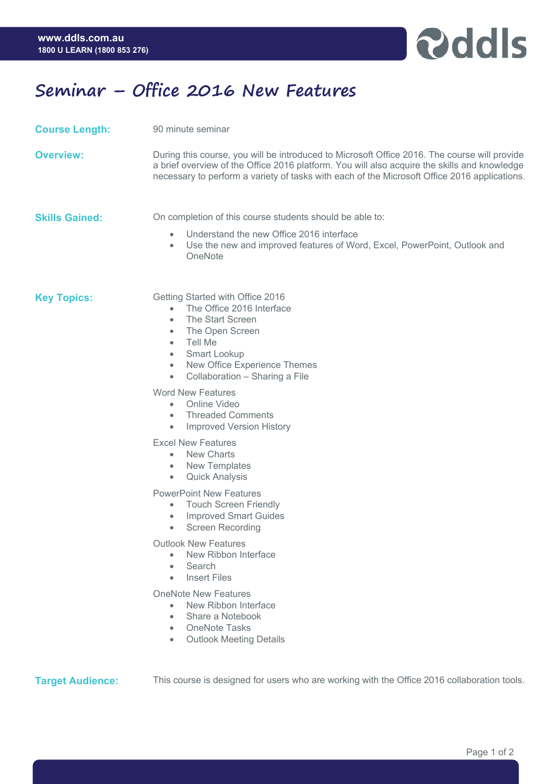

## **Seminar – Office 2016 New Features**

**Course Length:** 90 minute seminar

**Overview:** During this course, you will be introduced to Microsoft Office 2016. The course will provide a brief overview of the Office 2016 platform. You will also acquire the skills and knowledge necessary to perform a variety of tasks with each of the Microsoft Office 2016 applications.

**Skills Gained:** On completion of this course students should be able to:

- Understand the new Office 2016 interface
- Use the new and improved features of Word, Excel, PowerPoint, Outlook and **OneNote**

**Key Topics:** Getting Started with Office 2016

- The Office 2016 Interface
- The Start Screen
- The Open Screen
- Tell Me
- Smart Lookup
- New Office Experience Themes
- Collaboration Sharing a File

Word New Features

- Online Video
- Threaded Comments
- Improved Version History

Excel New Features

- New Charts
- New Templates
- Quick Analysis

PowerPoint New Features

- Touch Screen Friendly
- Improved Smart Guides
- Screen Recording

Outlook New Features

- New Ribbon Interface
- Search
- Insert Files

OneNote New Features

- New Ribbon Interface
- Share a Notebook
- OneNote Tasks
- Outlook Meeting Details

**Target Audience:** This course is designed for users who are working with the Office 2016 collaboration tools.